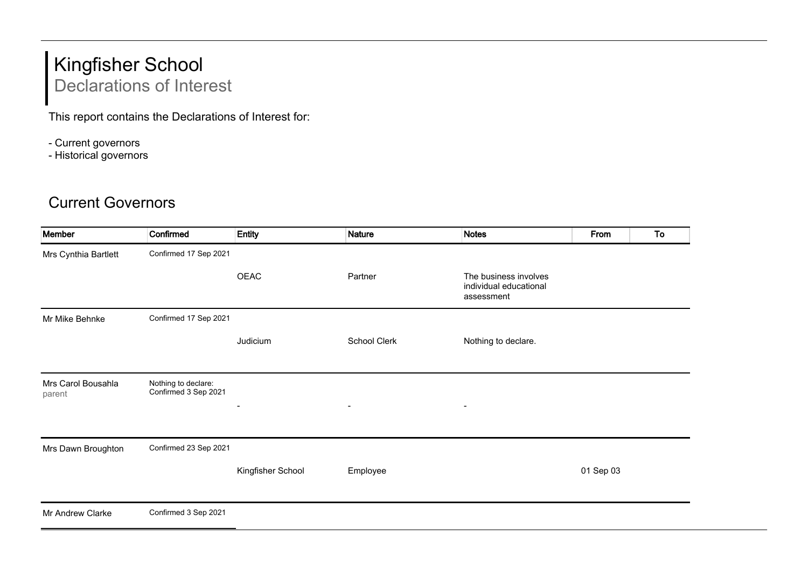## Kingfisher School Declarations of Interest

This report contains the Declarations of Interest for:

- Current governors
- Historical governors

## Current Governors

| Member                       | Confirmed                                   | Entity                   | Nature                   | <b>Notes</b>                                                  | From      | To |
|------------------------------|---------------------------------------------|--------------------------|--------------------------|---------------------------------------------------------------|-----------|----|
| Mrs Cynthia Bartlett         | Confirmed 17 Sep 2021                       |                          |                          |                                                               |           |    |
|                              |                                             | OEAC                     | Partner                  | The business involves<br>individual educational<br>assessment |           |    |
| Mr Mike Behnke               | Confirmed 17 Sep 2021                       |                          |                          |                                                               |           |    |
|                              |                                             | Judicium                 | School Clerk             | Nothing to declare.                                           |           |    |
| Mrs Carol Bousahla<br>parent | Nothing to declare:<br>Confirmed 3 Sep 2021 | $\overline{\phantom{a}}$ | $\overline{\phantom{a}}$ |                                                               |           |    |
| Mrs Dawn Broughton           | Confirmed 23 Sep 2021                       |                          |                          |                                                               |           |    |
|                              |                                             | Kingfisher School        | Employee                 |                                                               | 01 Sep 03 |    |
| Mr Andrew Clarke             | Confirmed 3 Sep 2021                        |                          |                          |                                                               |           |    |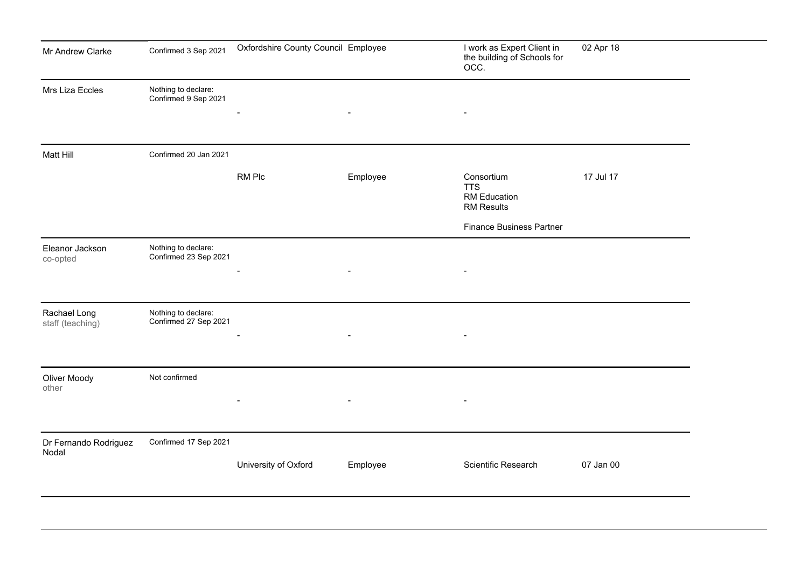| Mr Andrew Clarke                 | Confirmed 3 Sep 2021                         | Oxfordshire County Council Employee |                | I work as Expert Client in<br>the building of Schools for<br>OCC.    | 02 Apr 18 |
|----------------------------------|----------------------------------------------|-------------------------------------|----------------|----------------------------------------------------------------------|-----------|
| Mrs Liza Eccles                  | Nothing to declare:<br>Confirmed 9 Sep 2021  |                                     |                |                                                                      |           |
|                                  |                                              |                                     |                | $\blacksquare$                                                       |           |
| Matt Hill                        | Confirmed 20 Jan 2021                        |                                     |                |                                                                      |           |
|                                  |                                              | RM Plc                              | Employee       | Consortium<br><b>TTS</b><br><b>RM Education</b><br><b>RM Results</b> | 17 Jul 17 |
|                                  |                                              |                                     |                | <b>Finance Business Partner</b>                                      |           |
| Eleanor Jackson<br>co-opted      | Nothing to declare:<br>Confirmed 23 Sep 2021 |                                     |                |                                                                      |           |
|                                  |                                              | $\blacksquare$                      | $\overline{a}$ | $\blacksquare$                                                       |           |
| Rachael Long<br>staff (teaching) | Nothing to declare:<br>Confirmed 27 Sep 2021 |                                     |                |                                                                      |           |
|                                  |                                              |                                     |                | $\blacksquare$                                                       |           |
| Oliver Moody<br>other            | Not confirmed                                |                                     |                |                                                                      |           |
|                                  |                                              |                                     |                |                                                                      |           |
| Dr Fernando Rodriguez<br>Nodal   | Confirmed 17 Sep 2021                        |                                     |                |                                                                      |           |
|                                  |                                              | University of Oxford                | Employee       | Scientific Research                                                  | 07 Jan 00 |
|                                  |                                              |                                     |                |                                                                      |           |
|                                  |                                              |                                     |                |                                                                      |           |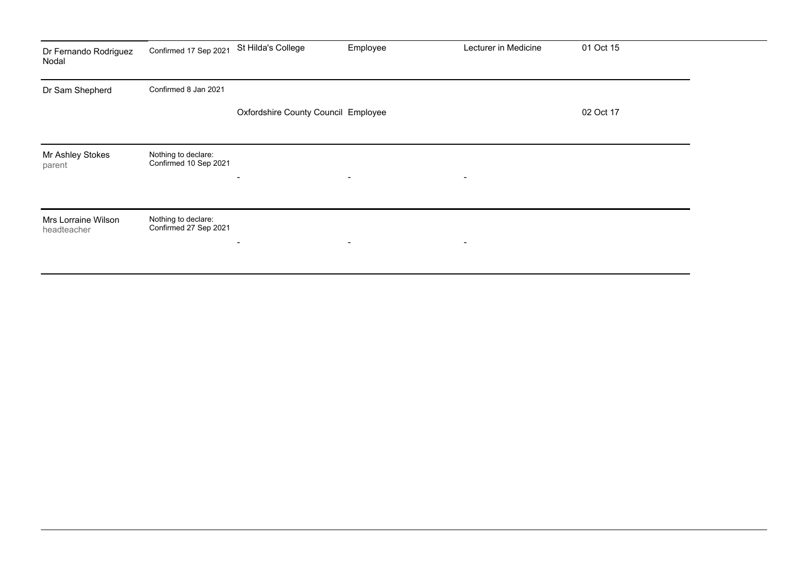| Dr Fernando Rodriguez<br>Nodal     | Confirmed 17 Sep 2021                        | St Hilda's College                  | Employee                 | Lecturer in Medicine | 01 Oct 15 |  |
|------------------------------------|----------------------------------------------|-------------------------------------|--------------------------|----------------------|-----------|--|
| Dr Sam Shepherd                    | Confirmed 8 Jan 2021                         | Oxfordshire County Council Employee |                          |                      | 02 Oct 17 |  |
| Mr Ashley Stokes<br>parent         | Nothing to declare:<br>Confirmed 10 Sep 2021 | $\overline{\phantom{a}}$            | $\overline{\phantom{a}}$ | $\blacksquare$       |           |  |
| Mrs Lorraine Wilson<br>headteacher | Nothing to declare:<br>Confirmed 27 Sep 2021 | $\overline{\phantom{0}}$            | $\blacksquare$           | $\blacksquare$       |           |  |